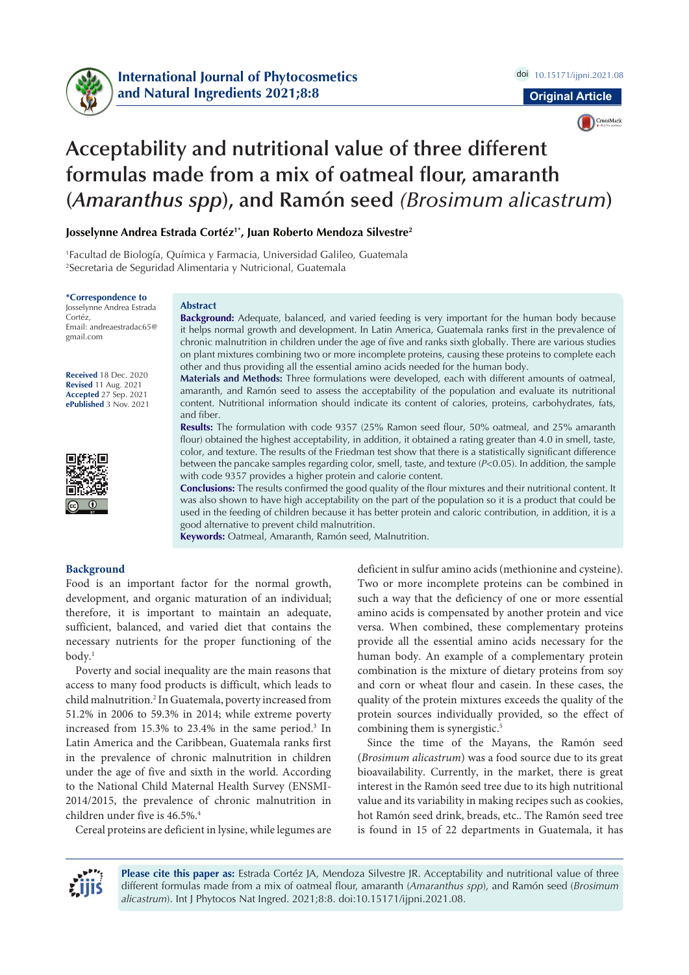



# **Acceptability and nutritional value of three different formulas made from a mix of oatmeal flour, amaranth (***Amaranthus spp***), and Ramón seed** *(Brosimum alicastrum***)**

**Josselynne Andrea Estrada Cortéz1\*, Juan Roberto Mendoza Silvestre2**

1 Facultad de Biología, Química y Farmacia, Universidad Galileo, Guatemala 2 Secretaria de Seguridad Alimentaria y Nutricional, Guatemala

#### **\*Correspondence to**

Josselynne Andrea Estrada Cortéz, Email: andreaestradac65@ gmail.com

**Received** 18 Dec. 2020 **Revised** 11 Aug. 2021 **Accepted** 27 Sep. 2021 **ePublished** 3 Nov. 2021



#### **Abstract**

**Background:** Adequate, balanced, and varied feeding is very important for the human body because it helps normal growth and development. In Latin America, Guatemala ranks first in the prevalence of chronic malnutrition in children under the age of five and ranks sixth globally. There are various studies on plant mixtures combining two or more incomplete proteins, causing these proteins to complete each other and thus providing all the essential amino acids needed for the human body.

**Materials and Methods:** Three formulations were developed, each with different amounts of oatmeal, amaranth, and Ramón seed to assess the acceptability of the population and evaluate its nutritional content. Nutritional information should indicate its content of calories, proteins, carbohydrates, fats, and fiber.

**Results:** The formulation with code 9357 (25% Ramon seed flour, 50% oatmeal, and 25% amaranth flour) obtained the highest acceptability, in addition, it obtained a rating greater than 4.0 in smell, taste, color, and texture. The results of the Friedman test show that there is a statistically significant difference between the pancake samples regarding color, smell, taste, and texture (*P*<0.05). In addition, the sample with code 9357 provides a higher protein and calorie content.

**Conclusions:** The results confirmed the good quality of the flour mixtures and their nutritional content. It was also shown to have high acceptability on the part of the population so it is a product that could be used in the feeding of children because it has better protein and caloric contribution, in addition, it is a good alternative to prevent child malnutrition.

**Keywords:** Oatmeal, Amaranth, Ramón seed, Malnutrition.

### **Background**

Food is an important factor for the normal growth, development, and organic maturation of an individual; therefore, it is important to maintain an adequate, sufficient, balanced, and varied diet that contains the necessary nutrients for the proper functioning of the  $body.$ <sup>1</sup>

Poverty and social inequality are the main reasons that access to many food products is difficult, which leads to child malnutrition.2 In Guatemala, poverty increased from 51.2% in 2006 to 59.3% in 2014; while extreme poverty increased from 15.3% to 23.4% in the same period.<sup>3</sup> In Latin America and the Caribbean, Guatemala ranks first in the prevalence of chronic malnutrition in children under the age of five and sixth in the world. According to the National Child Maternal Health Survey (ENSMI-2014/2015, the prevalence of chronic malnutrition in children under five is 46.5%.<sup>4</sup>

Cereal proteins are deficient in lysine, while legumes are

deficient in sulfur amino acids (methionine and cysteine). Two or more incomplete proteins can be combined in such a way that the deficiency of one or more essential amino acids is compensated by another protein and vice versa. When combined, these complementary proteins provide all the essential amino acids necessary for the human body. An example of a complementary protein combination is the mixture of dietary proteins from soy and corn or wheat flour and casein. In these cases, the quality of the protein mixtures exceeds the quality of the protein sources individually provided, so the effect of combining them is synergistic.<sup>5</sup>

Since the time of the Mayans, the Ramón seed (*Brosimum alicastrum*) was a food source due to its great bioavailability. Currently, in the market, there is great interest in the Ramón seed tree due to its high nutritional value and its variability in making recipes such as cookies, hot Ramón seed drink, breads, etc.. The Ramón seed tree is found in 15 of 22 departments in Guatemala, it has



**Please cite this paper as:** Estrada Cortéz JA, Mendoza Silvestre JR. Acceptability and nutritional value of three different formulas made from a mix of oatmeal flour, amaranth (*Amaranthus spp*), and Ramón seed (*Brosimum alicastrum*). Int J Phytocos Nat Ingred. 2021;8:8. doi:10.15171/ijpni.2021.08.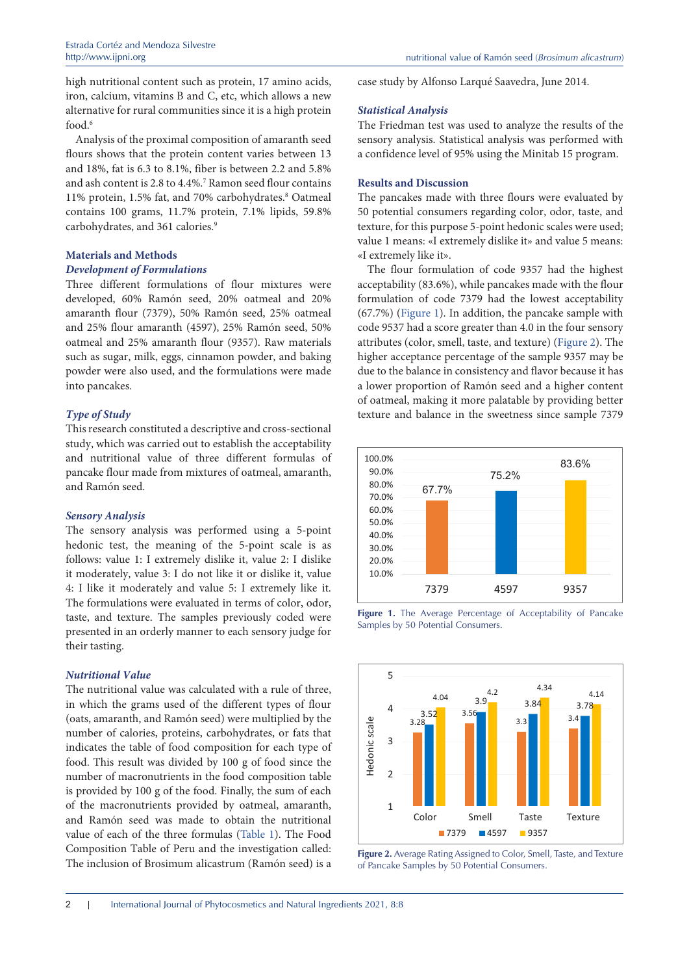high nutritional content such as protein, 17 amino acids, iron, calcium, vitamins B and C, etc, which allows a new alternative for rural communities since it is a high protein food.6

Analysis of the proximal composition of amaranth seed flours shows that the protein content varies between 13 and 18%, fat is 6.3 to 8.1%, fiber is between 2.2 and 5.8% and ash content is 2.8 to 4.4%.7 Ramon seed flour contains 11% protein, 1.5% fat, and 70% carbohydrates.<sup>8</sup> Oatmeal contains 100 grams, 11.7% protein, 7.1% lipids, 59.8% carbohydrates, and 361 calories.<sup>9</sup>

# **Materials and Methods**

# *Development of Formulations*

Three different formulations of flour mixtures were developed, 60% Ramón seed, 20% oatmeal and 20% amaranth flour (7379), 50% Ramón seed, 25% oatmeal and 25% flour amaranth (4597), 25% Ramón seed, 50% oatmeal and 25% amaranth flour (9357). Raw materials such as sugar, milk, eggs, cinnamon powder, and baking powder were also used, and the formulations were made into pancakes.

# *Type of Study*

This research constituted a descriptive and cross-sectional study, which was carried out to establish the acceptability and nutritional value of three different formulas of pancake flour made from mixtures of oatmeal, amaranth, and Ramón seed.

# *Sensory Analysis*

The sensory analysis was performed using a 5-point hedonic test, the meaning of the 5-point scale is as follows: value 1: I extremely dislike it, value 2: I dislike it moderately, value 3: I do not like it or dislike it, value 4: I like it moderately and value 5: I extremely like it. The formulations were evaluated in terms of color, odor, taste, and texture. The samples previously coded were presented in an orderly manner to each sensory judge for their tasting.

### *Nutritional Value*

The nutritional value was calculated with a rule of three, in which the grams used of the different types of flour (oats, amaranth, and Ramón seed) were multiplied by the number of calories, proteins, carbohydrates, or fats that indicates the table of food composition for each type of food. This result was divided by 100 g of food since the number of macronutrients in the food composition table is provided by 100 g of the food. Finally, the sum of each of the macronutrients provided by oatmeal, amaranth, and Ramón seed was made to obtain the nutritional value of each of the three formulas ([Table 1](#page-2-0)). The Food Composition Table of Peru and the investigation called: The inclusion of Brosimum alicastrum (Ramón seed) is a case study by Alfonso Larqué Saavedra, June 2014.

### *Statistical Analysis*

The Friedman test was used to analyze the results of the sensory analysis. Statistical analysis was performed with a confidence level of 95% using the Minitab 15 program.

# **Results and Discussion**

The pancakes made with three flours were evaluated by 50 potential consumers regarding color, odor, taste, and texture, for this purpose 5-point hedonic scales were used; value 1 means: «I extremely dislike it» and value 5 means: «I extremely like it».

The flour formulation of code 9357 had the highest acceptability (83.6%), while pancakes made with the flour formulation of code 7379 had the lowest acceptability (67.7%) [\(Figure](#page-1-0) 1). In addition, the pancake sample with code 9537 had a score greater than 4.0 in the four sensory attributes (color, smell, taste, and texture) ([Figure](#page-1-1) 2). The higher acceptance percentage of the sample 9357 may be due to the balance in consistency and flavor because it has a lower proportion of Ramón seed and a higher content of oatmeal, making it more palatable by providing better texture and balance in the sweetness since sample 7379

<span id="page-1-0"></span>



<span id="page-1-1"></span>

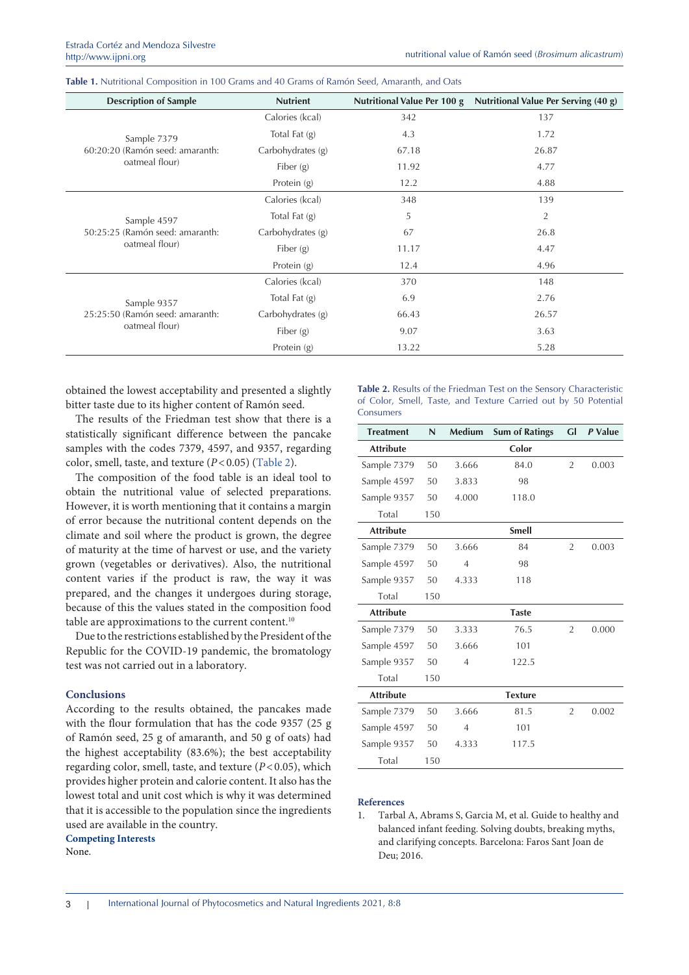<span id="page-2-0"></span>

| Table 1. Nutritional Composition in 100 Grams and 40 Grams of Ramón Seed, Amaranth, and Oats |  |  |  |
|----------------------------------------------------------------------------------------------|--|--|--|
|----------------------------------------------------------------------------------------------|--|--|--|

| <b>Description of Sample</b>    | <b>Nutrient</b>   | Nutritional Value Per 100 g | Nutritional Value Per Serving (40 g) |  |
|---------------------------------|-------------------|-----------------------------|--------------------------------------|--|
|                                 | Calories (kcal)   | 342                         | 137                                  |  |
| Sample 7379                     | Total Fat $(g)$   | 4.3                         | 1.72                                 |  |
| 60:20:20 (Ramón seed: amaranth: | Carbohydrates (g) | 67.18                       | 26.87                                |  |
| oatmeal flour)                  | Fiber $(g)$       | 11.92                       | 4.77                                 |  |
|                                 | Protein (g)       | 12.2                        | 4.88                                 |  |
|                                 | Calories (kcal)   | 348                         | 139                                  |  |
| Sample 4597                     | Total Fat $(g)$   | 5                           | $\overline{2}$                       |  |
| 50:25:25 (Ramón seed: amaranth: | Carbohydrates (g) | 67                          | 26.8                                 |  |
| oatmeal flour)                  | Fiber $(g)$       | 11.17                       | 4.47                                 |  |
|                                 | Protein (g)       | 12.4                        | 4.96                                 |  |
|                                 | Calories (kcal)   | 370                         | 148                                  |  |
| Sample 9357                     | Total Fat $(g)$   | 6.9                         | 2.76                                 |  |
| 25:25:50 (Ramón seed: amaranth: | Carbohydrates (g) | 66.43                       | 26.57                                |  |
| oatmeal flour)                  | Fiber $(g)$       | 9.07                        | 3.63                                 |  |
|                                 | Protein (g)       | 13.22                       | 5.28                                 |  |

obtained the lowest acceptability and presented a slightly bitter taste due to its higher content of Ramón seed.

The results of the Friedman test show that there is a statistically significant difference between the pancake samples with the codes 7379, 4597, and 9357, regarding color, smell, taste, and texture  $(P<0.05)$  [\(Table](#page-2-0) 2).

The composition of the food table is an ideal tool to obtain the nutritional value of selected preparations. However, it is worth mentioning that it contains a margin of error because the nutritional content depends on the climate and soil where the product is grown, the degree of maturity at the time of harvest or use, and the variety grown (vegetables or derivatives). Also, the nutritional content varies if the product is raw, the way it was prepared, and the changes it undergoes during storage, because of this the values stated in the composition food table are approximations to the current content.<sup>10</sup>

Due to the restrictions established by the President of the Republic for the COVID-19 pandemic, the bromatology test was not carried out in a laboratory.

#### **Conclusions**

According to the results obtained, the pancakes made with the flour formulation that has the code 9357 (25 g of Ramón seed, 25 g of amaranth, and 50 g of oats) had the highest acceptability (83.6%); the best acceptability regarding color, smell, taste, and texture (*P*<0.05), which provides higher protein and calorie content. It also has the lowest total and unit cost which is why it was determined that it is accessible to the population since the ingredients used are available in the country.

**Competing Interests** 

None.

**Table 2.** Results of the Friedman Test on the Sensory Characteristic of Color, Smell, Taste, and Texture Carried out by 50 Potential Consumers

| <b>Treatment</b> | N   | <b>Medium</b>  | <b>Sum of Ratings</b> | Gl             | P Value |
|------------------|-----|----------------|-----------------------|----------------|---------|
| <b>Attribute</b> |     |                | Color                 |                |         |
| Sample 7379      | 50  | 3.666          | 84.0                  | 2              | 0.003   |
| Sample 4597      | 50  | 3.833          | 98                    |                |         |
| Sample 9357      | 50  | 4.000          | 118.0                 |                |         |
| Total            | 150 |                |                       |                |         |
| <b>Attribute</b> |     |                | <b>Smell</b>          |                |         |
| Sample 7379      | 50  | 3.666          | 84                    | $\overline{2}$ | 0.003   |
| Sample 4597      | 50  | $\overline{4}$ | 98                    |                |         |
| Sample 9357      | 50  | 4.333          | 118                   |                |         |
| Total            | 150 |                |                       |                |         |
| <b>Attribute</b> |     |                | <b>Taste</b>          |                |         |
| Sample 7379      | 50  | 3.333          | 76.5                  | $\overline{2}$ | 0.000   |
| Sample 4597      | 50  | 3.666          | 101                   |                |         |
| Sample 9357      | 50  | $\overline{4}$ | 122.5                 |                |         |
| Total            | 150 |                |                       |                |         |
| <b>Attribute</b> |     |                | <b>Texture</b>        |                |         |
| Sample 7379      | 50  | 3.666          | 81.5                  | $\overline{2}$ | 0.002   |
| Sample 4597      | 50  | $\overline{4}$ | 101                   |                |         |
| Sample 9357      | 50  | 4.333          | 117.5                 |                |         |
| Total            | 150 |                |                       |                |         |

## **References**

1. Tarbal A, Abrams S, Garcia M, et al. Guide to healthy and balanced infant feeding. Solving doubts, breaking myths, and clarifying concepts. Barcelona: Faros Sant Joan de Deu; 2016.